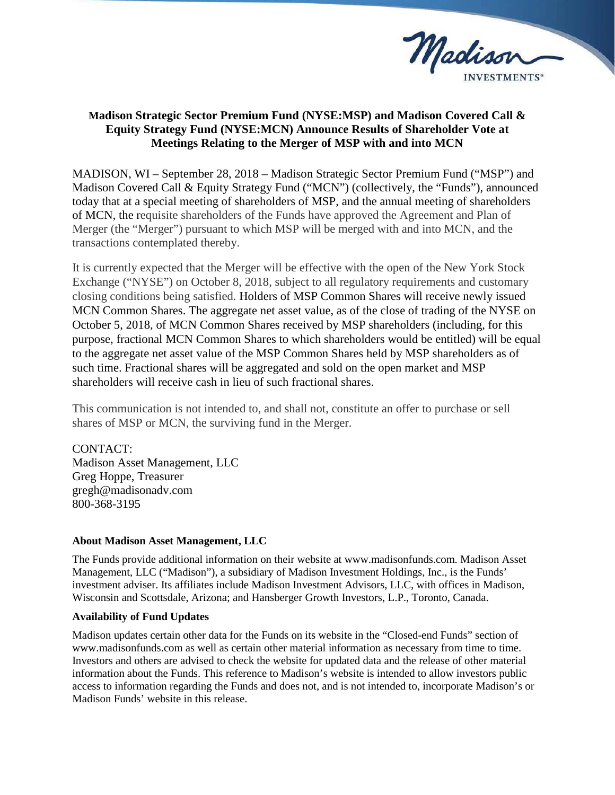

## **Madison Strategic Sector Premium Fund (NYSE:MSP) and Madison Covered Call & Equity Strategy Fund (NYSE:MCN) Announce Results of Shareholder Vote at Meetings Relating to the Merger of MSP with and into MCN**

MADISON, WI – September 28, 2018 – Madison Strategic Sector Premium Fund ("MSP") and Madison Covered Call & Equity Strategy Fund ("MCN") (collectively, the "Funds"), announced today that at a special meeting of shareholders of MSP, and the annual meeting of shareholders of MCN, the requisite shareholders of the Funds have approved the Agreement and Plan of Merger (the "Merger") pursuant to which MSP will be merged with and into MCN, and the transactions contemplated thereby.

It is currently expected that the Merger will be effective with the open of the New York Stock Exchange ("NYSE") on October 8, 2018, subject to all regulatory requirements and customary closing conditions being satisfied. Holders of MSP Common Shares will receive newly issued MCN Common Shares. The aggregate net asset value, as of the close of trading of the NYSE on October 5, 2018, of MCN Common Shares received by MSP shareholders (including, for this purpose, fractional MCN Common Shares to which shareholders would be entitled) will be equal to the aggregate net asset value of the MSP Common Shares held by MSP shareholders as of such time. Fractional shares will be aggregated and sold on the open market and MSP shareholders will receive cash in lieu of such fractional shares.

This communication is not intended to, and shall not, constitute an offer to purchase or sell shares of MSP or MCN, the surviving fund in the Merger.

CONTACT: Madison Asset Management, LLC Greg Hoppe, Treasurer gregh@madisonadv.com 800-368-3195

## **About Madison Asset Management, LLC**

The Funds provide additional information on their website at www.madisonfunds.com. Madison Asset Management, LLC ("Madison"), a subsidiary of Madison Investment Holdings, Inc., is the Funds' investment adviser. Its affiliates include Madison Investment Advisors, LLC, with offices in Madison, Wisconsin and Scottsdale, Arizona; and Hansberger Growth Investors, L.P., Toronto, Canada.

## **Availability of Fund Updates**

Madison updates certain other data for the Funds on its website in the "Closed-end Funds" section of www.madisonfunds.com as well as certain other material information as necessary from time to time. Investors and others are advised to check the website for updated data and the release of other material information about the Funds. This reference to Madison's website is intended to allow investors public access to information regarding the Funds and does not, and is not intended to, incorporate Madison's or Madison Funds' website in this release.